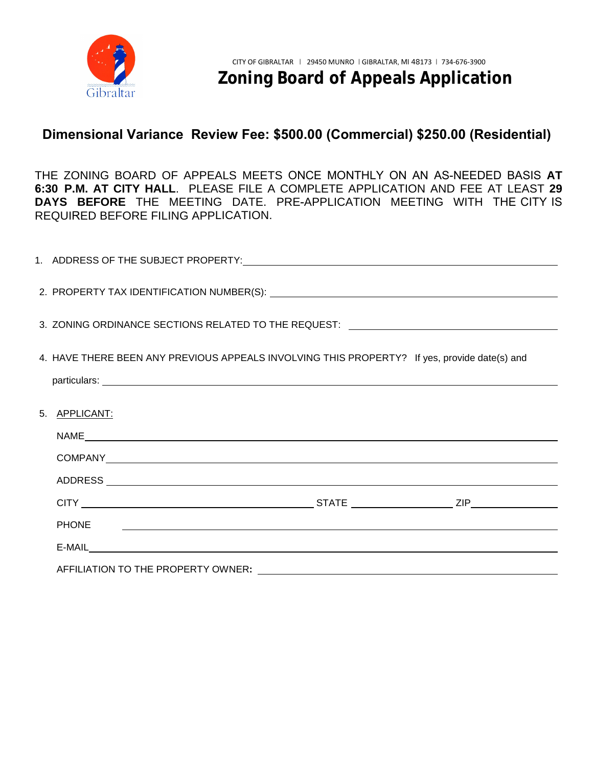

#### **Dimensional Variance Review [Fee: \\$500.00 \(Co](mailto:planning@troymi.gov)mmercial) \$250.00 (Residential)**

THE ZONING BOARD OF APPEALS MEETS ONCE MONTHLY ON AN AS-NEEDED BASIS **AT 6:30 P.M. AT CITY HALL**. PLEASE FILE A COMPLETE APPLICATION AND FEE AT LEAST **29 DAYS BEFORE** THE MEETING DATE. PRE-APPLICATION MEETING WITH THE CITY IS REQUIRED BEFORE FILING APPLICATION.

| 3. ZONING ORDINANCE SECTIONS RELATED TO THE REQUEST: \[\standation_\\standation_\\standation_\\standation_\\sta                                                                                                                |
|--------------------------------------------------------------------------------------------------------------------------------------------------------------------------------------------------------------------------------|
| 4. HAVE THERE BEEN ANY PREVIOUS APPEALS INVOLVING THIS PROPERTY? If yes, provide date(s) and                                                                                                                                   |
|                                                                                                                                                                                                                                |
| 5. APPLICANT:                                                                                                                                                                                                                  |
|                                                                                                                                                                                                                                |
|                                                                                                                                                                                                                                |
|                                                                                                                                                                                                                                |
|                                                                                                                                                                                                                                |
| <b>PHONE</b><br><u> 1980 - Johann Stoff, deutscher Stoffen und der Stoffen und der Stoffen und der Stoffen und der Stoffen und der</u>                                                                                         |
|                                                                                                                                                                                                                                |
| AFFILIATION TO THE PROPERTY OWNER: \\contact \\contact \\contact \\contact \\contact \\contact \\contact \\contact \\contact \\contact \\contact \\contact \\contact \\contact \\contact \\contact \\contact \\contact \\conta |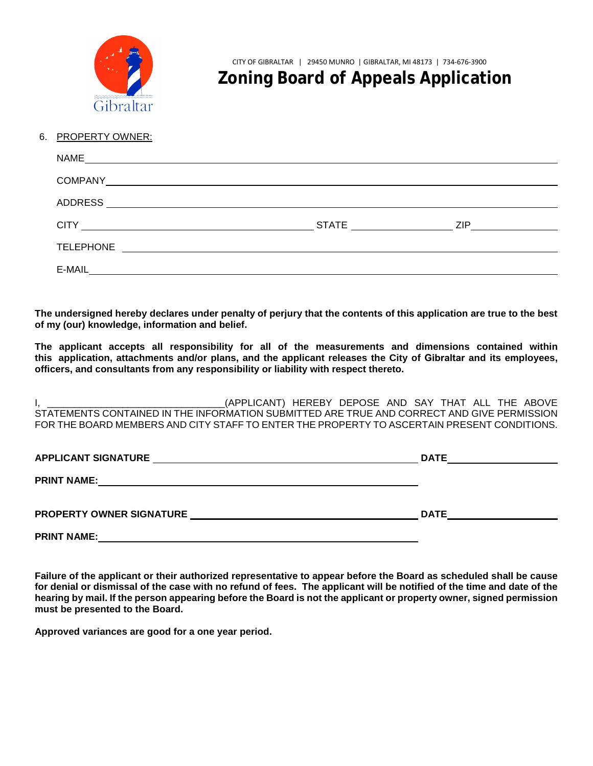

CITY OF GIBRALTAR | 29450 MUNRO | GIBRALTAR, MI 48173 | 734-676-3900

# **Zoning Board of Appeals Application**

#### 6. PROPERTY OWNER:

| NAME<br><u> 1980 - Andrea State Barbara, amerikan personal di sebagai personal di sebagai personal di sebagai personal d</u>           |            |     |
|----------------------------------------------------------------------------------------------------------------------------------------|------------|-----|
| <b>COMPANY</b><br><u> Alexandria de la contrada de la contrada de la contrada de la contrada de la contrada de la contrada de la c</u> |            |     |
|                                                                                                                                        |            |     |
|                                                                                                                                        | $STATE \_$ | ZIP |
| <b>TELEPHONE</b><br><u> 1989 - John Stein, markin fizikar markin eta idazlea (</u>                                                     |            |     |
| E-MAIL                                                                                                                                 |            |     |

**The undersigned hereby declares under penalty of perjury that the contents of this application are true to the best of my (our) knowledge, information and belief.**

**The applicant accepts all responsibility for all of the measurements and dimensions contained within this application, attachments and/or plans, and the applicant releases the City of Gibraltar and its employees, officers, and consultants from any responsibility or liability with respect thereto.** 

I, \_\_\_\_\_\_\_\_\_\_\_\_\_\_\_\_\_\_\_\_\_\_\_\_\_\_\_\_\_\_\_\_\_(APPLICANT) HEREBY DEPOSE AND SAY THAT ALL THE ABOVE STATEMENTS CONTAINED IN THE INFORMATION SUBMITTED ARE TRUE AND CORRECT AND GIVE PERMISSION FOR THE BOARD MEMBERS AND CITY STAFF TO ENTER THE PROPERTY TO ASCERTAIN PRESENT CONDITIONS.

| <b>APPLICANT SIGNATURE</b> | <b>DATE</b> |
|----------------------------|-------------|
| <b>PRINT NAME:</b>         |             |
| PROPERTY OWNER SIGNATURE   | <b>DATE</b> |
| <b>PRINT NAME:</b>         |             |

**Failure of the applicant or their authorized representative to appear before the Board as scheduled shall be cause for denial or dismissal of the case with no refund of fees. The applicant will be notified of the time and date of the hearing by mail. If the person appearing before the Board is not the applicant or property owner, signed permission must be presented to the Board.** 

**Approved variances are good for a one year period.**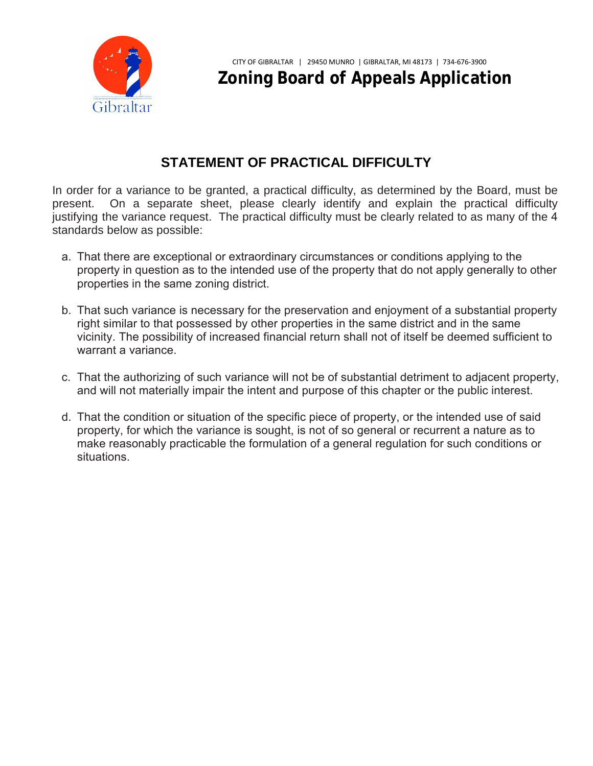

CITY OF GIBRALTAR | 29450 MUNRO | GIBRALTAR, MI 48173 | 734-676-3900 **Zoning Board of Appeals Application**

## **STATEMENT OF PRACTICAL DIFFICULTY**

In order for a variance to be granted, a practical difficulty, as determined by the Board, must be present. On a separate sheet, please clearly identify and explain the practical difficulty justifying the variance request. The practical difficulty must be clearly related to as many of the 4 standards below as possible:

- a. That there are exceptional or extraordinary circumstances or conditions applying to the property in question as to the intended use of the property that do not apply generally to other properties in the same zoning district.
- b. That such variance is necessary for the preservation and enjoyment of a substantial property right similar to that possessed by other properties in the same district and in the same vicinity. The possibility of increased financial return shall not of itself be deemed sufficient to warrant a variance.
- c. That the authorizing of such variance will not be of substantial detriment to adjacent property, and will not materially impair the intent and purpose of this chapter or the public interest.
- d. That the condition or situation of the specific piece of property, or the intended use of said property, for which the variance is sought, is not of so general or recurrent a nature as to make reasonably practicable the formulation of a general regulation for such conditions or situations.